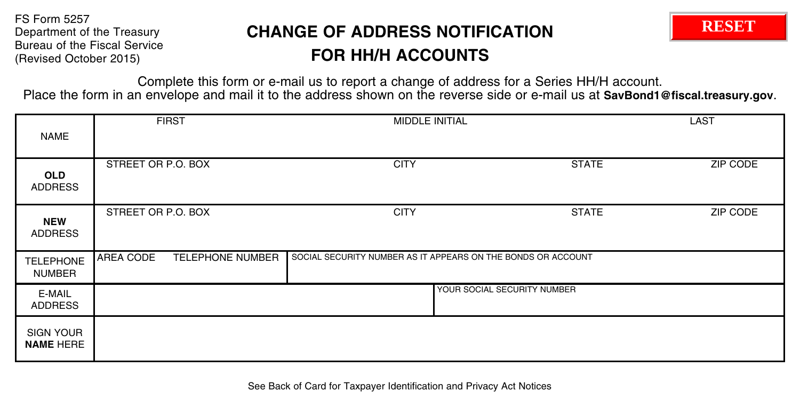FS Form 5257 Department of the Treasury Bureau of the Fiscal Service (Revised October 2015)

## **CHANGE OF ADDRESS NOTIFICATION FOR HH/H ACCOUNTS**



Complete this form or e-mail us to report a change of address for a Series HH/H account. Place the form in an envelope and mail it to the address shown on the reverse side or e-mail us at **SavBond1@fiscal.treasury.gov**.

| <b>NAME</b>                          | <b>FIRST</b>                         | MIDDLE INITIAL                                               |              | LAST            |
|--------------------------------------|--------------------------------------|--------------------------------------------------------------|--------------|-----------------|
| <b>OLD</b><br><b>ADDRESS</b>         | STREET OR P.O. BOX                   | <b>CITY</b>                                                  | <b>STATE</b> | <b>ZIP CODE</b> |
| <b>NEW</b><br>ADDRESS                | STREET OR P.O. BOX                   | <b>CITY</b>                                                  | <b>STATE</b> | ZIP CODE        |
| <b>TELEPHONE</b><br><b>NUMBER</b>    | AREA CODE<br><b>TELEPHONE NUMBER</b> | SOCIAL SECURITY NUMBER AS IT APPEARS ON THE BONDS OR ACCOUNT |              |                 |
| E-MAIL<br>ADDRESS                    | YOUR SOCIAL SECURITY NUMBER          |                                                              |              |                 |
| <b>SIGN YOUR</b><br><b>NAME HERE</b> |                                      |                                                              |              |                 |